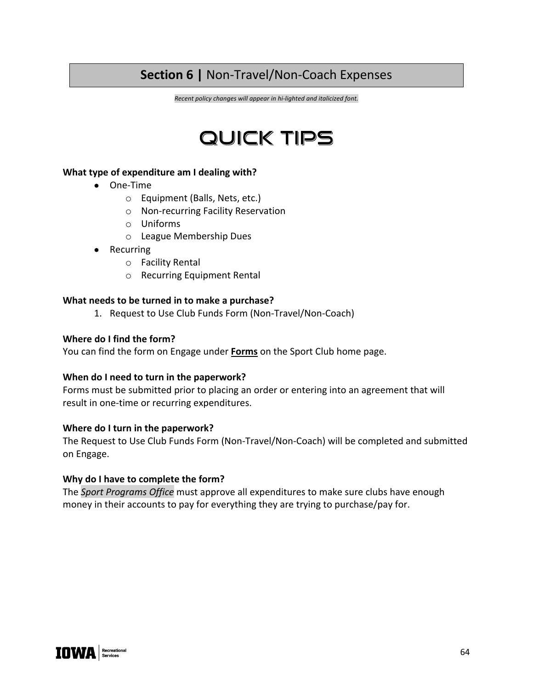# **Section 6 |** Non-Travel/Non-Coach Expenses

*Recent policy changes will appear in hi-lighted and italicized font.*

# QUICK TIPS

#### **What type of expenditure am I dealing with?**

- One-Time
	- o Equipment (Balls, Nets, etc.)
	- o Non-recurring Facility Reservation
	- o Uniforms
	- o League Membership Dues
- Recurring
	- o Facility Rental
	- o Recurring Equipment Rental

#### **What needs to be turned in to make a purchase?**

1. Request to Use Club Funds Form (Non-Travel/Non-Coach)

#### **Where do I find the form?**

You can find the form on Engage under **Forms** on the Sport Club home page.

#### **When do I need to turn in the paperwork?**

Forms must be submitted prior to placing an order or entering into an agreement that will result in one-time or recurring expenditures.

#### **Where do I turn in the paperwork?**

The Request to Use Club Funds Form (Non-Travel/Non-Coach) will be completed and submitted on Engage.

#### **Why do I have to complete the form?**

The *Sport Programs Office* must approve all expenditures to make sure clubs have enough money in their accounts to pay for everything they are trying to purchase/pay for.

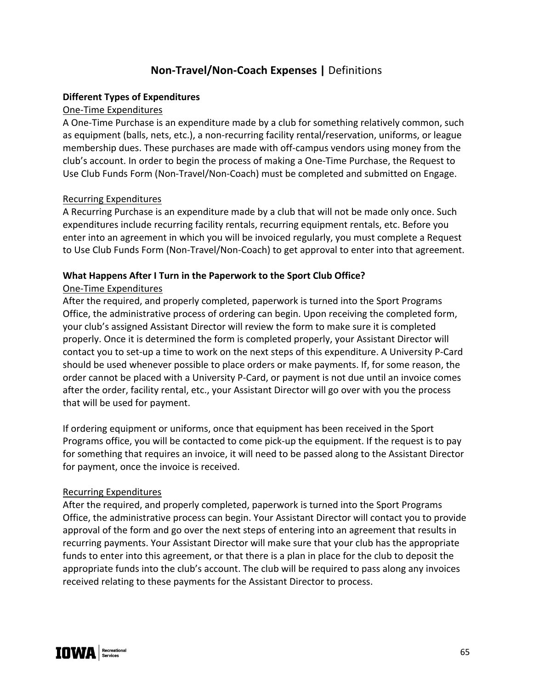## **Non-Travel/Non-Coach Expenses |** Definitions

#### **Different Types of Expenditures**

#### One-Time Expenditures

A One-Time Purchase is an expenditure made by a club for something relatively common, such as equipment (balls, nets, etc.), a non-recurring facility rental/reservation, uniforms, or league membership dues. These purchases are made with off-campus vendors using money from the club's account. In order to begin the process of making a One-Time Purchase, the Request to Use Club Funds Form (Non-Travel/Non-Coach) must be completed and submitted on Engage.

#### Recurring Expenditures

A Recurring Purchase is an expenditure made by a club that will not be made only once. Such expenditures include recurring facility rentals, recurring equipment rentals, etc. Before you enter into an agreement in which you will be invoiced regularly, you must complete a Request to Use Club Funds Form (Non-Travel/Non-Coach) to get approval to enter into that agreement.

#### **What Happens After I Turn in the Paperwork to the Sport Club Office?**

### One-Time Expenditures

After the required, and properly completed, paperwork is turned into the Sport Programs Office, the administrative process of ordering can begin. Upon receiving the completed form, your club's assigned Assistant Director will review the form to make sure it is completed properly. Once it is determined the form is completed properly, your Assistant Director will contact you to set-up a time to work on the next steps of this expenditure. A University P-Card should be used whenever possible to place orders or make payments. If, for some reason, the order cannot be placed with a University P-Card, or payment is not due until an invoice comes after the order, facility rental, etc., your Assistant Director will go over with you the process that will be used for payment.

If ordering equipment or uniforms, once that equipment has been received in the Sport Programs office, you will be contacted to come pick-up the equipment. If the request is to pay for something that requires an invoice, it will need to be passed along to the Assistant Director for payment, once the invoice is received.

#### Recurring Expenditures

After the required, and properly completed, paperwork is turned into the Sport Programs Office, the administrative process can begin. Your Assistant Director will contact you to provide approval of the form and go over the next steps of entering into an agreement that results in recurring payments. Your Assistant Director will make sure that your club has the appropriate funds to enter into this agreement, or that there is a plan in place for the club to deposit the appropriate funds into the club's account. The club will be required to pass along any invoices received relating to these payments for the Assistant Director to process.

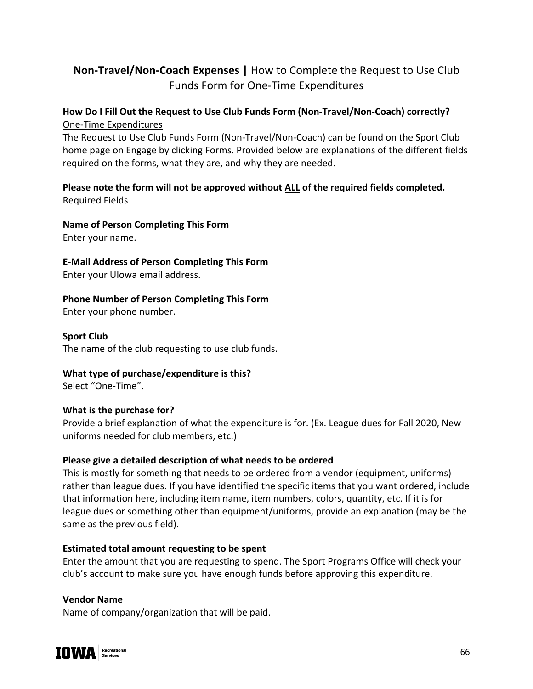# **Non-Travel/Non-Coach Expenses |** How to Complete the Request to Use Club Funds Form for One-Time Expenditures

## **How Do I Fill Out the Request to Use Club Funds Form (Non-Travel/Non-Coach) correctly?** One-Time Expenditures

The Request to Use Club Funds Form (Non-Travel/Non-Coach) can be found on the Sport Club home page on Engage by clicking Forms. Provided below are explanations of the different fields required on the forms, what they are, and why they are needed.

## **Please note the form will not be approved without ALL of the required fields completed.** Required Fields

### **Name of Person Completing This Form**

Enter your name.

**E-Mail Address of Person Completing This Form**

Enter your UIowa email address.

## **Phone Number of Person Completing This Form**

Enter your phone number.

### **Sport Club**

The name of the club requesting to use club funds.

### **What type of purchase/expenditure is this?**

Select "One-Time".

### **What is the purchase for?**

Provide a brief explanation of what the expenditure is for. (Ex. League dues for Fall 2020, New uniforms needed for club members, etc.)

### **Please give a detailed description of what needs to be ordered**

This is mostly for something that needs to be ordered from a vendor (equipment, uniforms) rather than league dues. If you have identified the specific items that you want ordered, include that information here, including item name, item numbers, colors, quantity, etc. If it is for league dues or something other than equipment/uniforms, provide an explanation (may be the same as the previous field).

### **Estimated total amount requesting to be spent**

Enter the amount that you are requesting to spend. The Sport Programs Office will check your club's account to make sure you have enough funds before approving this expenditure.

### **Vendor Name**

Name of company/organization that will be paid.

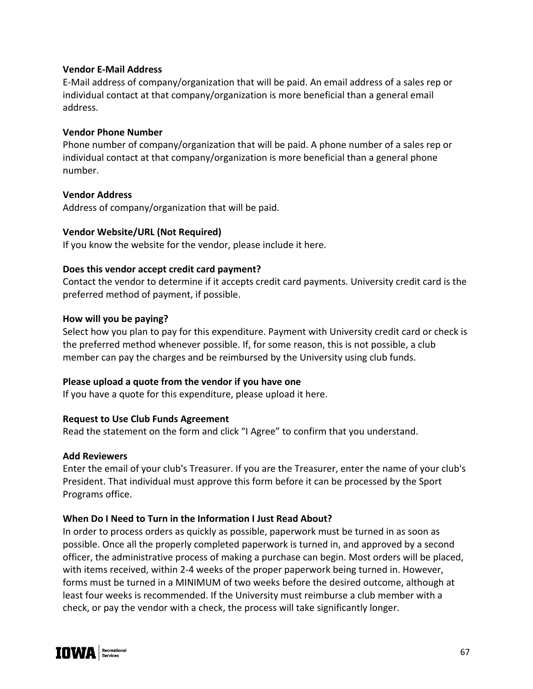#### **Vendor E-Mail Address**

E-Mail address of company/organization that will be paid. An email address of a sales rep or individual contact at that company/organization is more beneficial than a general email address.

#### **Vendor Phone Number**

Phone number of company/organization that will be paid. A phone number of a sales rep or individual contact at that company/organization is more beneficial than a general phone number.

#### **Vendor Address**

Address of company/organization that will be paid.

#### **Vendor Website/URL (Not Required)**

If you know the website for the vendor, please include it here.

#### **Does this vendor accept credit card payment?**

Contact the vendor to determine if it accepts credit card payments. University credit card is the preferred method of payment, if possible.

#### **How will you be paying?**

Select how you plan to pay for this expenditure. Payment with University credit card or check is the preferred method whenever possible. If, for some reason, this is not possible, a club member can pay the charges and be reimbursed by the University using club funds.

### **Please upload a quote from the vendor if you have one**

If you have a quote for this expenditure, please upload it here.

### **Request to Use Club Funds Agreement**

Read the statement on the form and click "I Agree" to confirm that you understand.

#### **Add Reviewers**

Enter the email of your club's Treasurer. If you are the Treasurer, enter the name of your club's President. That individual must approve this form before it can be processed by the Sport Programs office.

### **When Do I Need to Turn in the Information I Just Read About?**

In order to process orders as quickly as possible, paperwork must be turned in as soon as possible. Once all the properly completed paperwork is turned in, and approved by a second officer, the administrative process of making a purchase can begin. Most orders will be placed, with items received, within 2-4 weeks of the proper paperwork being turned in. However, forms must be turned in a MINIMUM of two weeks before the desired outcome, although at least four weeks is recommended. If the University must reimburse a club member with a check, or pay the vendor with a check, the process will take significantly longer.

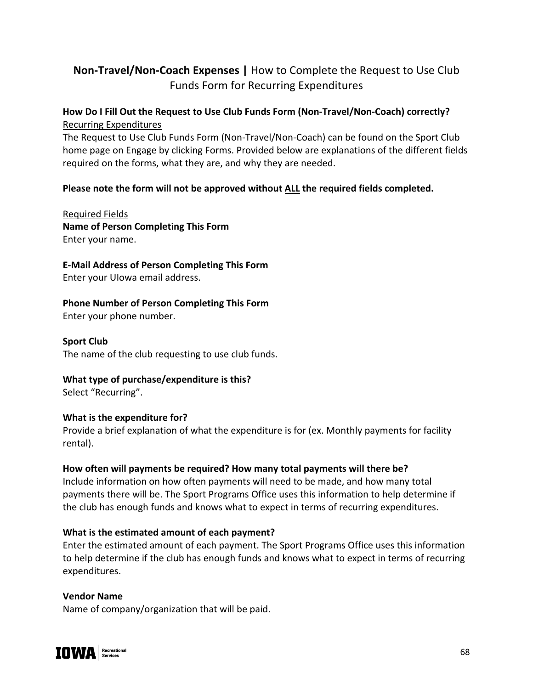# **Non-Travel/Non-Coach Expenses |** How to Complete the Request to Use Club Funds Form for Recurring Expenditures

## **How Do I Fill Out the Request to Use Club Funds Form (Non-Travel/Non-Coach) correctly?** Recurring Expenditures

The Request to Use Club Funds Form (Non-Travel/Non-Coach) can be found on the Sport Club home page on Engage by clicking Forms. Provided below are explanations of the different fields required on the forms, what they are, and why they are needed.

### **Please note the form will not be approved without ALL the required fields completed.**

Required Fields **Name of Person Completing This Form**  Enter your name.

**E-Mail Address of Person Completing This Form**

Enter your UIowa email address.

**Phone Number of Person Completing This Form**

Enter your phone number.

**Sport Club** 

The name of the club requesting to use club funds.

### **What type of purchase/expenditure is this?**

Select "Recurring".

### **What is the expenditure for?**

Provide a brief explanation of what the expenditure is for (ex. Monthly payments for facility rental).

### **How often will payments be required? How many total payments will there be?**

Include information on how often payments will need to be made, and how many total payments there will be. The Sport Programs Office uses this information to help determine if the club has enough funds and knows what to expect in terms of recurring expenditures.

### **What is the estimated amount of each payment?**

Enter the estimated amount of each payment. The Sport Programs Office uses this information to help determine if the club has enough funds and knows what to expect in terms of recurring expenditures.

### **Vendor Name**

Name of company/organization that will be paid.

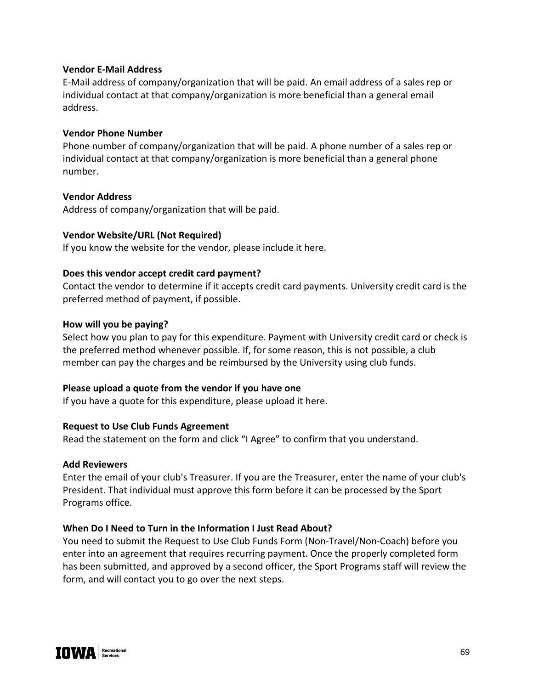#### **Vendor E-Mail Address**

E-Mail address of company/organization that will be paid. An email address of a sales rep or individual contact at that company/organization is more beneficial than a general email address.

#### **Vendor Phone Number**

Phone number of company/organization that will be paid. A phone number of a sales rep or individual contact at that company/organization is more beneficial than a general phone number.

#### **Vendor Address**

Address of company/organization that will be paid.

#### **Vendor Website/URL (Not Required)**

If you know the website for the vendor, please include it here.

#### **Does this vendor accept credit card payment?**

Contact the vendor to determine if it accepts credit card payments. University credit card is the preferred method of payment, if possible.

#### **How will you be paying?**

Select how you plan to pay for this expenditure. Payment with University credit card or check is the preferred method whenever possible. If, for some reason, this is not possible, a club member can pay the charges and be reimbursed by the University using club funds.

#### **Please upload a quote from the vendor if you have one**

If you have a quote for this expenditure, please upload it here.

#### **Request to Use Club Funds Agreement**

Read the statement on the form and click "I Agree" to confirm that you understand.

#### **Add Reviewers**

Enter the email of your club's Treasurer. If you are the Treasurer, enter the name of your club's President. That individual must approve this form before it can be processed by the Sport Programs office.

#### **When Do I Need to Turn in the Information I Just Read About?**

You need to submit the Request to Use Club Funds Form (Non-Travel/Non-Coach) before you enter into an agreement that requires recurring payment. Once the properly completed form has been submitted, and approved by a second officer, the Sport Programs staff will review the form, and will contact you to go over the next steps.

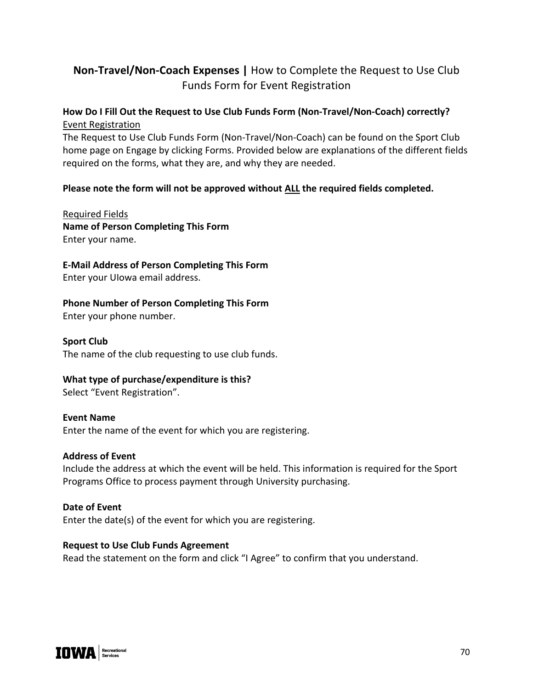# **Non-Travel/Non-Coach Expenses |** How to Complete the Request to Use Club Funds Form for Event Registration

## **How Do I Fill Out the Request to Use Club Funds Form (Non-Travel/Non-Coach) correctly?** Event Registration

The Request to Use Club Funds Form (Non-Travel/Non-Coach) can be found on the Sport Club home page on Engage by clicking Forms. Provided below are explanations of the different fields required on the forms, what they are, and why they are needed.

### **Please note the form will not be approved without ALL the required fields completed.**

Required Fields **Name of Person Completing This Form**  Enter your name.

**E-Mail Address of Person Completing This Form** Enter your UIowa email address.

**Phone Number of Person Completing This Form**

Enter your phone number.

**Sport Club**  The name of the club requesting to use club funds.

### **What type of purchase/expenditure is this?**

Select "Event Registration".

#### **Event Name**

Enter the name of the event for which you are registering.

#### **Address of Event**

Include the address at which the event will be held. This information is required for the Sport Programs Office to process payment through University purchasing.

#### **Date of Event**

Enter the date(s) of the event for which you are registering.

#### **Request to Use Club Funds Agreement**

Read the statement on the form and click "I Agree" to confirm that you understand.

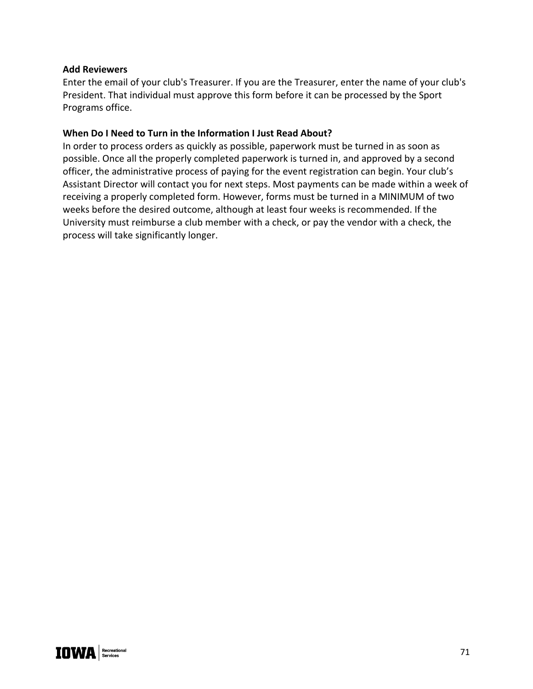#### **Add Reviewers**

Enter the email of your club's Treasurer. If you are the Treasurer, enter the name of your club's President. That individual must approve this form before it can be processed by the Sport Programs office.

#### **When Do I Need to Turn in the Information I Just Read About?**

In order to process orders as quickly as possible, paperwork must be turned in as soon as possible. Once all the properly completed paperwork is turned in, and approved by a second officer, the administrative process of paying for the event registration can begin. Your club's Assistant Director will contact you for next steps. Most payments can be made within a week of receiving a properly completed form. However, forms must be turned in a MINIMUM of two weeks before the desired outcome, although at least four weeks is recommended. If the University must reimburse a club member with a check, or pay the vendor with a check, the process will take significantly longer.

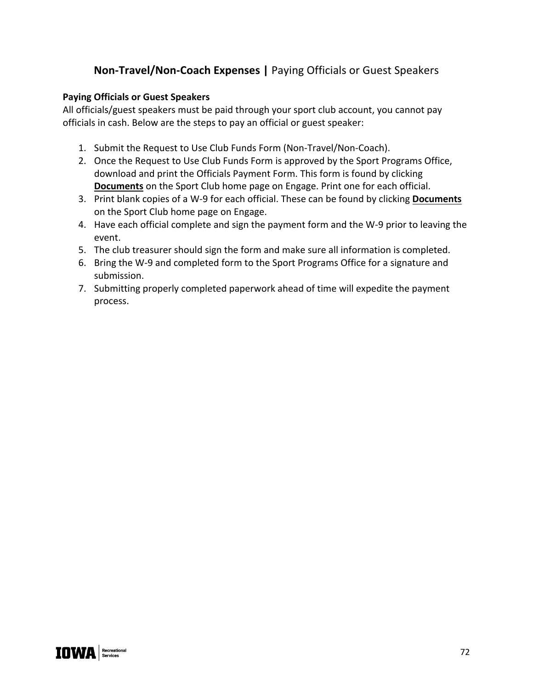# **Non-Travel/Non-Coach Expenses |** Paying Officials or Guest Speakers

#### **Paying Officials or Guest Speakers**

All officials/guest speakers must be paid through your sport club account, you cannot pay officials in cash. Below are the steps to pay an official or guest speaker:

- 1. Submit the Request to Use Club Funds Form (Non-Travel/Non-Coach).
- 2. Once the Request to Use Club Funds Form is approved by the Sport Programs Office, download and print the Officials Payment Form. This form is found by clicking **Documents** on the Sport Club home page on Engage. Print one for each official.
- 3. Print blank copies of a W-9 for each official. These can be found by clicking **Documents** on the Sport Club home page on Engage.
- 4. Have each official complete and sign the payment form and the W-9 prior to leaving the event.
- 5. The club treasurer should sign the form and make sure all information is completed.
- 6. Bring the W-9 and completed form to the Sport Programs Office for a signature and submission.
- 7. Submitting properly completed paperwork ahead of time will expedite the payment process.